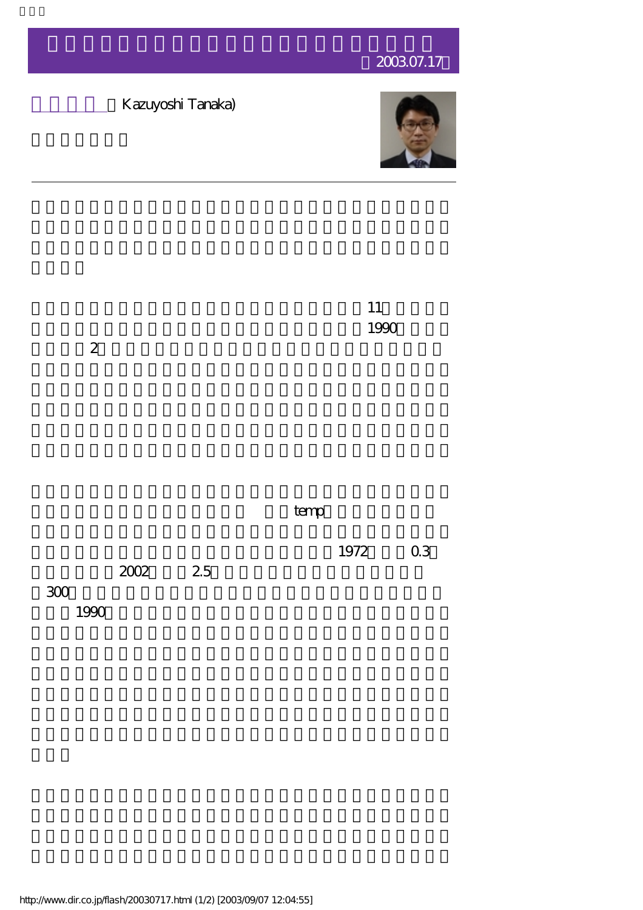## 2003.07.17





http://www.dir.co.jp/flash/20030717.html (1/2) [2003/09/07 12:04:55]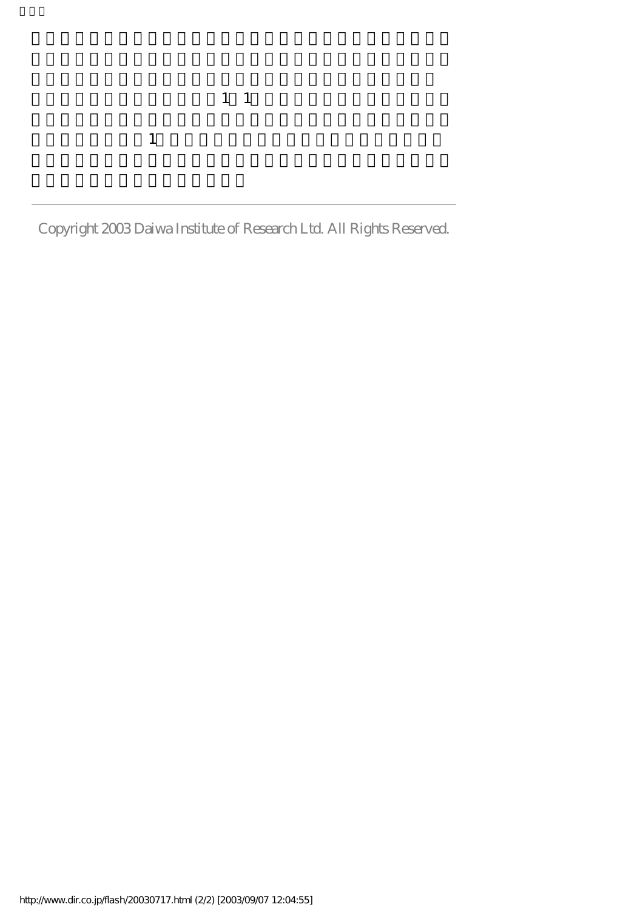$\frac{1}{1}$  1  $1$ 

Copyright 2003 Daiwa Institute of Research Ltd. All Rights Reserved.